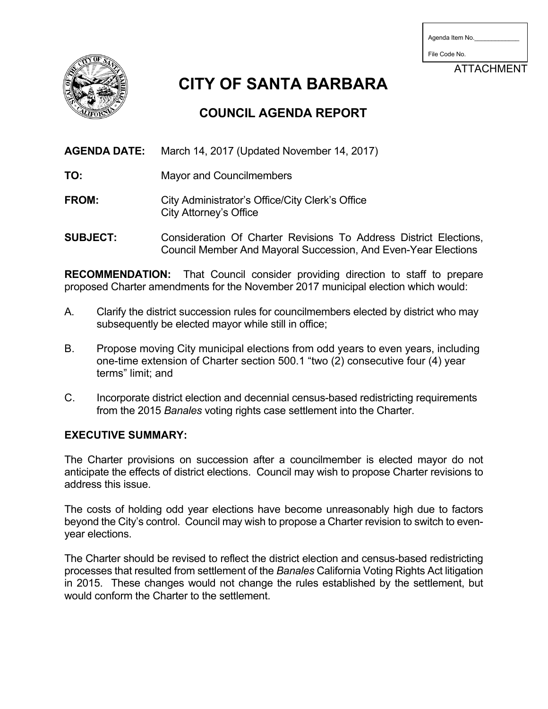| Agenda Item No. |  |
|-----------------|--|
|                 |  |

File Code No.

ATTACHMENT



**CITY OF SANTA BARBARA**

# **COUNCIL AGENDA REPORT**

**AGENDA DATE:** March 14, 2017 (Updated November 14, 2017)

- **TO:** Mayor and Councilmembers
- FROM: City Administrator's Office/City Clerk's Office City Attorney's Office
- **SUBJECT:** Consideration Of Charter Revisions To Address District Elections, Council Member And Mayoral Succession, And Even-Year Elections

**RECOMMENDATION:** That Council consider providing direction to staff to prepare proposed Charter amendments for the November 2017 municipal election which would:

- A. Clarify the district succession rules for councilmembers elected by district who may subsequently be elected mayor while still in office;
- B. Propose moving City municipal elections from odd years to even years, including one-time extension of Charter section 500.1 "two (2) consecutive four (4) year terms" limit; and
- C. Incorporate district election and decennial census-based redistricting requirements from the 2015 *Banales* voting rights case settlement into the Charter.

# **EXECUTIVE SUMMARY:**

The Charter provisions on succession after a councilmember is elected mayor do not anticipate the effects of district elections. Council may wish to propose Charter revisions to address this issue.

The costs of holding odd year elections have become unreasonably high due to factors beyond the City's control. Council may wish to propose a Charter revision to switch to evenyear elections.

The Charter should be revised to reflect the district election and census-based redistricting processes that resulted from settlement of the *Banales* California Voting Rights Act litigation in 2015. These changes would not change the rules established by the settlement, but would conform the Charter to the settlement.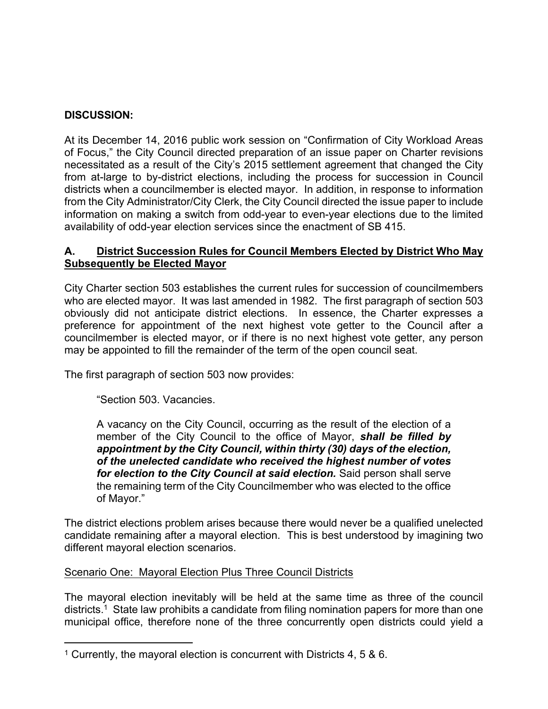# **DISCUSSION:**

At its December 14, 2016 public work session on "Confirmation of City Workload Areas of Focus," the City Council directed preparation of an issue paper on Charter revisions necessitated as a result of the City's 2015 settlement agreement that changed the City from at-large to by-district elections, including the process for succession in Council districts when a councilmember is elected mayor. In addition, in response to information from the City Administrator/City Clerk, the City Council directed the issue paper to include information on making a switch from odd-year to even-year elections due to the limited availability of odd-year election services since the enactment of SB 415.

## **A. District Succession Rules for Council Members Elected by District Who May Subsequently be Elected Mayor**

City Charter section 503 establishes the current rules for succession of councilmembers who are elected mayor. It was last amended in 1982. The first paragraph of section 503 obviously did not anticipate district elections. In essence, the Charter expresses a preference for appointment of the next highest vote getter to the Council after a councilmember is elected mayor, or if there is no next highest vote getter, any person may be appointed to fill the remainder of the term of the open council seat.

The first paragraph of section 503 now provides:

"Section 503. Vacancies.

A vacancy on the City Council, occurring as the result of the election of a member of the City Council to the office of Mayor, *shall be filled by appointment by the City Council, within thirty (30) days of the election, of the unelected candidate who received the highest number of votes for election to the City Council at said election.* Said person shall serve the remaining term of the City Councilmember who was elected to the office of Mayor."

The district elections problem arises because there would never be a qualified unelected candidate remaining after a mayoral election. This is best understood by imagining two different mayoral election scenarios.

## Scenario One: Mayoral Election Plus Three Council Districts

The mayoral election inevitably will be held at the same time as three of the council districts.<sup>1</sup> State law prohibits a candidate from filing nomination papers for more than one municipal office, therefore none of the three concurrently open districts could yield a

<sup>1</sup> Currently, the mayoral election is concurrent with Districts 4, 5 & 6.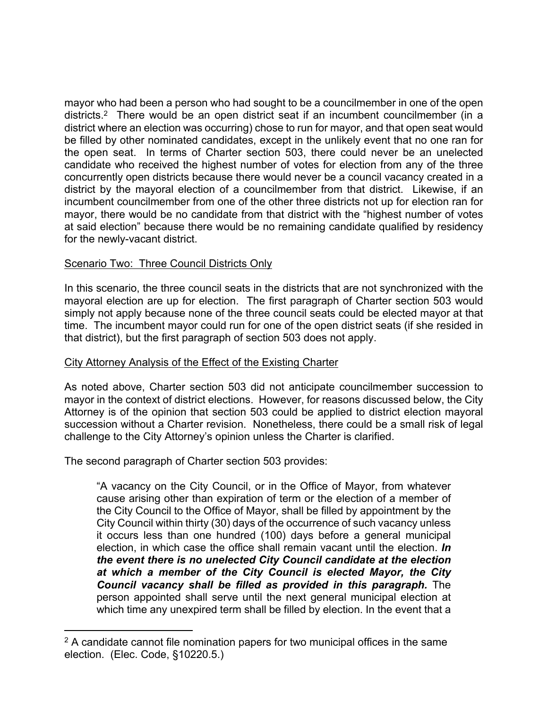mayor who had been a person who had sought to be a councilmember in one of the open districts.<sup>2</sup> There would be an open district seat if an incumbent councilmember (in a district where an election was occurring) chose to run for mayor, and that open seat would be filled by other nominated candidates, except in the unlikely event that no one ran for the open seat. In terms of Charter section 503, there could never be an unelected candidate who received the highest number of votes for election from any of the three concurrently open districts because there would never be a council vacancy created in a district by the mayoral election of a councilmember from that district. Likewise, if an incumbent councilmember from one of the other three districts not up for election ran for mayor, there would be no candidate from that district with the "highest number of votes at said election" because there would be no remaining candidate qualified by residency for the newly-vacant district.

# Scenario Two: Three Council Districts Only

In this scenario, the three council seats in the districts that are not synchronized with the mayoral election are up for election. The first paragraph of Charter section 503 would simply not apply because none of the three council seats could be elected mayor at that time. The incumbent mayor could run for one of the open district seats (if she resided in that district), but the first paragraph of section 503 does not apply.

## City Attorney Analysis of the Effect of the Existing Charter

As noted above, Charter section 503 did not anticipate councilmember succession to mayor in the context of district elections. However, for reasons discussed below, the City Attorney is of the opinion that section 503 could be applied to district election mayoral succession without a Charter revision. Nonetheless, there could be a small risk of legal challenge to the City Attorney's opinion unless the Charter is clarified.

The second paragraph of Charter section 503 provides:

"A vacancy on the City Council, or in the Office of Mayor, from whatever cause arising other than expiration of term or the election of a member of the City Council to the Office of Mayor, shall be filled by appointment by the City Council within thirty (30) days of the occurrence of such vacancy unless it occurs less than one hundred (100) days before a general municipal election, in which case the office shall remain vacant until the election. *In the event there is no unelected City Council candidate at the election at which a member of the City Council is elected Mayor, the City Council vacancy shall be filled as provided in this paragraph.* The person appointed shall serve until the next general municipal election at which time any unexpired term shall be filled by election. In the event that a

<sup>&</sup>lt;sup>2</sup> A candidate cannot file nomination papers for two municipal offices in the same election. (Elec. Code, §10220.5.)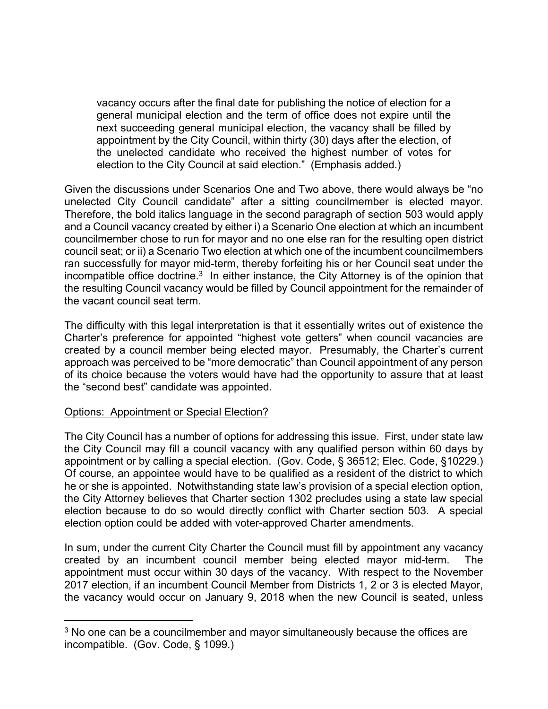vacancy occurs after the final date for publishing the notice of election for a general municipal election and the term of office does not expire until the next succeeding general municipal election, the vacancy shall be filled by appointment by the City Council, within thirty (30) days after the election, of the unelected candidate who received the highest number of votes for election to the City Council at said election." (Emphasis added.)

Given the discussions under Scenarios One and Two above, there would always be "no unelected City Council candidate" after a sitting councilmember is elected mayor. Therefore, the bold italics language in the second paragraph of section 503 would apply and a Council vacancy created by either i) a Scenario One election at which an incumbent councilmember chose to run for mayor and no one else ran for the resulting open district council seat; or ii) a Scenario Two election at which one of the incumbent councilmembers ran successfully for mayor mid-term, thereby forfeiting his or her Council seat under the incompatible office doctrine.<sup>3</sup> In either instance, the City Attorney is of the opinion that the resulting Council vacancy would be filled by Council appointment for the remainder of the vacant council seat term.

The difficulty with this legal interpretation is that it essentially writes out of existence the Charter's preference for appointed "highest vote getters" when council vacancies are created by a council member being elected mayor. Presumably, the Charter's current approach was perceived to be "more democratic" than Council appointment of any person of its choice because the voters would have had the opportunity to assure that at least the "second best" candidate was appointed.

## Options: Appointment or Special Election?

The City Council has a number of options for addressing this issue. First, under state law the City Council may fill a council vacancy with any qualified person within 60 days by appointment or by calling a special election. (Gov. Code, § 36512; Elec. Code, §10229.) Of course, an appointee would have to be qualified as a resident of the district to which he or she is appointed. Notwithstanding state law's provision of a special election option, the City Attorney believes that Charter section 1302 precludes using a state law special election because to do so would directly conflict with Charter section 503. A special election option could be added with voter-approved Charter amendments.

In sum, under the current City Charter the Council must fill by appointment any vacancy created by an incumbent council member being elected mayor mid-term. The appointment must occur within 30 days of the vacancy. With respect to the November 2017 election, if an incumbent Council Member from Districts 1, 2 or 3 is elected Mayor, the vacancy would occur on January 9, 2018 when the new Council is seated, unless

<sup>&</sup>lt;sup>3</sup> No one can be a councilmember and mayor simultaneously because the offices are incompatible. (Gov. Code, § 1099.)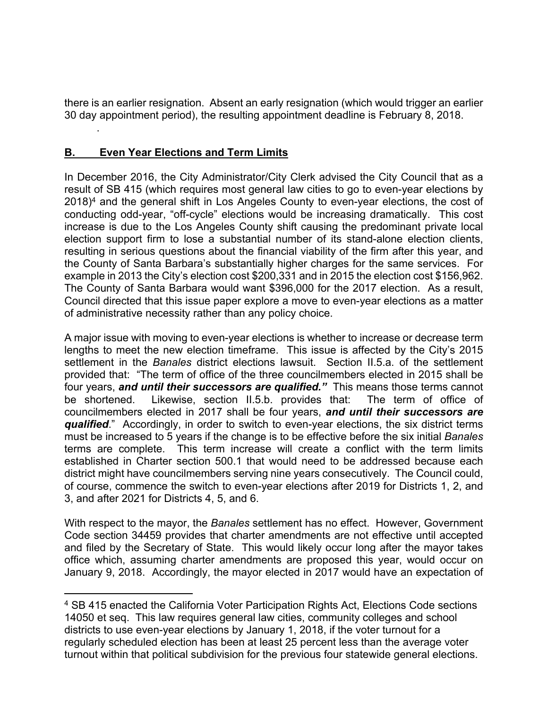there is an earlier resignation. Absent an early resignation (which would trigger an earlier 30 day appointment period), the resulting appointment deadline is February 8, 2018.

# **B. Even Year Elections and Term Limits**

.

In December 2016, the City Administrator/City Clerk advised the City Council that as a result of SB 415 (which requires most general law cities to go to even-year elections by  $2018$ <sup>4</sup> and the general shift in Los Angeles County to even-year elections, the cost of conducting odd-year, "off-cycle" elections would be increasing dramatically. This cost increase is due to the Los Angeles County shift causing the predominant private local election support firm to lose a substantial number of its stand-alone election clients, resulting in serious questions about the financial viability of the firm after this year, and the County of Santa Barbara's substantially higher charges for the same services. For example in 2013 the City's election cost \$200,331 and in 2015 the election cost \$156,962. The County of Santa Barbara would want \$396,000 for the 2017 election. As a result, Council directed that this issue paper explore a move to even-year elections as a matter of administrative necessity rather than any policy choice.

A major issue with moving to even-year elections is whether to increase or decrease term lengths to meet the new election timeframe. This issue is affected by the City's 2015 settlement in the *Banales* district elections lawsuit. Section II.5.a. of the settlement provided that: "The term of office of the three councilmembers elected in 2015 shall be four years, *and until their successors are qualified."*This means those terms cannot be shortened. Likewise, section II.5.b. provides that: The term of office of councilmembers elected in 2017 shall be four years, *and until their successors are qualified*." Accordingly, in order to switch to even-year elections, the six district terms must be increased to 5 years if the change is to be effective before the six initial *Banales* terms are complete. This term increase will create a conflict with the term limits established in Charter section 500.1 that would need to be addressed because each district might have councilmembers serving nine years consecutively. The Council could, of course, commence the switch to even-year elections after 2019 for Districts 1, 2, and 3, and after 2021 for Districts 4, 5, and 6.

With respect to the mayor, the *Banales* settlement has no effect. However, Government Code section 34459 provides that charter amendments are not effective until accepted and filed by the Secretary of State. This would likely occur long after the mayor takes office which, assuming charter amendments are proposed this year, would occur on January 9, 2018. Accordingly, the mayor elected in 2017 would have an expectation of

<sup>4</sup> SB 415 enacted the California Voter Participation Rights Act, Elections Code sections 14050 et seq. This law requires general law cities, community colleges and school districts to use even-year elections by January 1, 2018, if the voter turnout for a regularly scheduled election has been at least 25 percent less than the average voter turnout within that political subdivision for the previous four statewide general elections.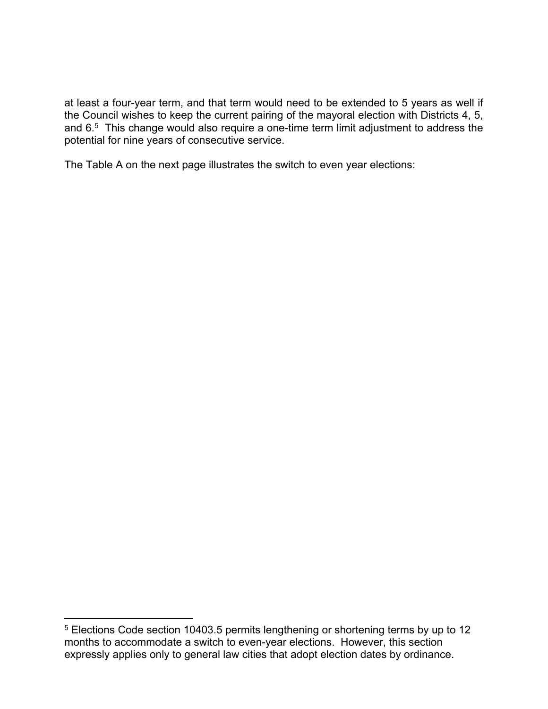at least a four-year term, and that term would need to be extended to 5 years as well if the Council wishes to keep the current pairing of the mayoral election with Districts 4, 5, and 6.<sup>5</sup> This change would also require a one-time term limit adjustment to address the potential for nine years of consecutive service.

The Table A on the next page illustrates the switch to even year elections:

<sup>5</sup> Elections Code section 10403.5 permits lengthening or shortening terms by up to 12 months to accommodate a switch to even-year elections. However, this section expressly applies only to general law cities that adopt election dates by ordinance.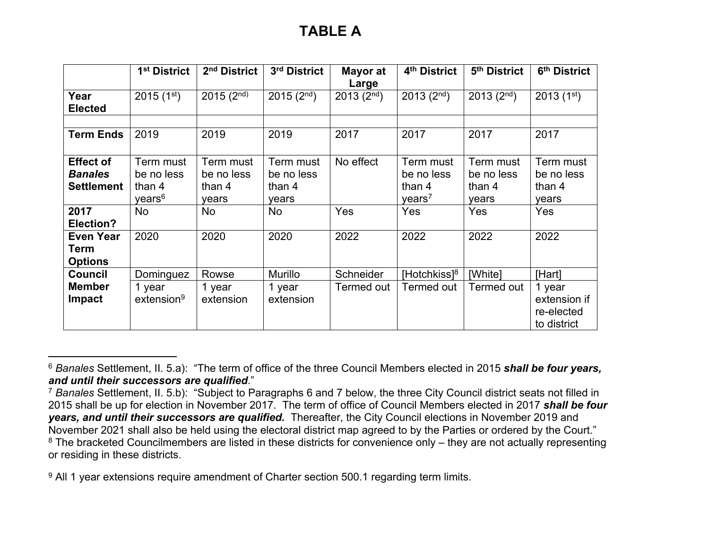|                                                         | 1 <sup>st</sup> District                                | 2 <sup>nd</sup> District                   | 3rd District                               | Mayor at<br>Large      | 4 <sup>th</sup> District                                | 5th District                               | 6th District                                        |
|---------------------------------------------------------|---------------------------------------------------------|--------------------------------------------|--------------------------------------------|------------------------|---------------------------------------------------------|--------------------------------------------|-----------------------------------------------------|
| Year<br><b>Elected</b>                                  | $2015(1^{st})$                                          | $2015(2^{nd})$                             | $2015(2^{nd})$                             | 2013(2 <sup>nd</sup> ) | 2013(2 <sup>nd</sup> )                                  | 2013(2 <sup>nd</sup> )                     | $2013(1^{st})$                                      |
| <b>Term Ends</b>                                        | 2019                                                    | 2019                                       | 2019                                       | 2017                   | 2017                                                    | 2017                                       | 2017                                                |
|                                                         |                                                         |                                            |                                            |                        |                                                         |                                            |                                                     |
| <b>Effect of</b><br><b>Banales</b><br><b>Settlement</b> | Term must<br>be no less<br>than 4<br>years <sup>6</sup> | Term must<br>be no less<br>than 4<br>years | Term must<br>be no less<br>than 4<br>years | No effect              | Term must<br>be no less<br>than 4<br>years <sup>7</sup> | Term must<br>be no less<br>than 4<br>years | Term must<br>be no less<br>than 4<br>years          |
| 2017<br><b>Election?</b>                                | No                                                      | N <sub>o</sub>                             | No                                         | Yes                    | Yes                                                     | Yes                                        | Yes                                                 |
| <b>Even Year</b><br><b>Term</b><br><b>Options</b>       | 2020                                                    | 2020                                       | 2020                                       | 2022                   | 2022                                                    | 2022                                       | 2022                                                |
| <b>Council</b>                                          | Dominguez                                               | Rowse                                      | Murillo                                    | Schneider              | [Hotchkiss] $8$ ]                                       | [White]                                    | [Hart]                                              |
| <b>Member</b><br><b>Impact</b>                          | 1 year<br>extension <sup>9</sup>                        | 1 year<br>extension                        | 1 year<br>extension                        | Termed out             | Termed out                                              | Termed out                                 | 1 year<br>extension if<br>re-elected<br>to district |

<sup>6</sup> *Banales* Settlement, II. 5.a): "The term of office of the three Council Members elected in 2015 *shall be four years, and until their successors are qualified*."

<sup>7</sup> *Banales* Settlement, II. 5.b): "Subject to Paragraphs 6 and 7 below, the three City Council district seats not filled in 2015 shall be up for election in November 2017. The term of office of Council Members elected in 2017 *shall be four years, and until their successors are qualified.* Thereafter, the City Council elections in November 2019 and November 2021 shall also be held using the electoral district map agreed to by the Parties or ordered by the Court." <sup>8</sup> The bracketed Councilmembers are listed in these districts for convenience only – they are not actually representing or residing in these districts.

<sup>&</sup>lt;sup>9</sup> All 1 year extensions require amendment of Charter section 500.1 regarding term limits.